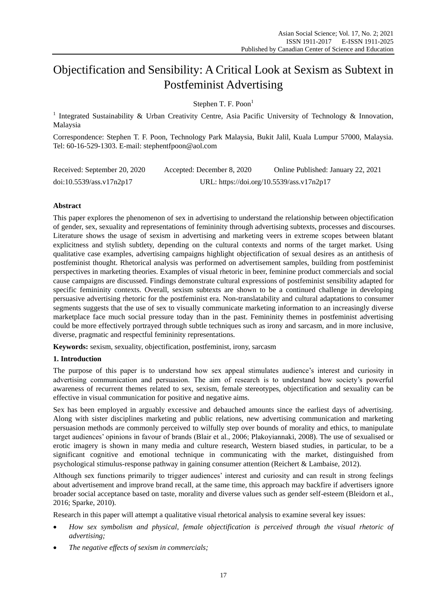# Objectification and Sensibility: A Critical Look at Sexism as Subtext in Postfeminist Advertising

Stephen T. F. Poon<sup>1</sup>

<sup>1</sup> Integrated Sustainability & Urban Creativity Centre, Asia Pacific University of Technology & Innovation, Malaysia

Correspondence: Stephen T. F. Poon, Technology Park Malaysia, Bukit Jalil, Kuala Lumpur 57000, Malaysia. Tel: 60-16-529-1303. E-mail: [stephentfpoon@aol.com](mailto:stephentfpoon@aol.com)

| Received: September 20, 2020 | Accepted: December 8, 2020                | Online Published: January 22, 2021 |
|------------------------------|-------------------------------------------|------------------------------------|
| doi:10.5539/ass.v17n2p17     | URL: https://doi.org/10.5539/ass.v17n2p17 |                                    |

# **Abstract**

This paper explores the phenomenon of sex in advertising to understand the relationship between objectification of gender, sex, sexuality and representations of femininity through advertising subtexts, processes and discourses. Literature shows the usage of sexism in advertising and marketing veers in extreme scopes between blatant explicitness and stylish subtlety, depending on the cultural contexts and norms of the target market. Using qualitative case examples, advertising campaigns highlight objectification of sexual desires as an antithesis of postfeminist thought. Rhetorical analysis was performed on advertisement samples, building from postfeminist perspectives in marketing theories. Examples of visual rhetoric in beer, feminine product commercials and social cause campaigns are discussed. Findings demonstrate cultural expressions of postfeminist sensibility adapted for specific femininity contexts. Overall, sexism subtexts are shown to be a continued challenge in developing persuasive advertising rhetoric for the postfeminist era. Non-translatability and cultural adaptations to consumer segments suggests that the use of sex to visually communicate marketing information to an increasingly diverse marketplace face much social pressure today than in the past. Femininity themes in postfeminist advertising could be more effectively portrayed through subtle techniques such as irony and sarcasm, and in more inclusive, diverse, pragmatic and respectful femininity representations.

**Keywords:** sexism, sexuality, objectification, postfeminist, irony, sarcasm

# **1. Introduction**

The purpose of this paper is to understand how sex appeal stimulates audience"s interest and curiosity in advertising communication and persuasion. The aim of research is to understand how society"s powerful awareness of recurrent themes related to sex, sexism, female stereotypes, objectification and sexuality can be effective in visual communication for positive and negative aims.

Sex has been employed in arguably excessive and debauched amounts since the earliest days of advertising. Along with sister disciplines marketing and public relations, new advertising communication and marketing persuasion methods are commonly perceived to wilfully step over bounds of morality and ethics, to manipulate target audiences" opinions in favour of brands (Blair et al., 2006; Plakoyiannaki, 2008). The use of sexualised or erotic imagery is shown in many media and culture research, Western biased studies, in particular, to be a significant cognitive and emotional technique in communicating with the market, distinguished from psychological stimulus-response pathway in gaining consumer attention (Reichert & Lambaise, 2012).

Although sex functions primarily to trigger audiences' interest and curiosity and can result in strong feelings about advertisement and improve brand recall, at the same time, this approach may backfire if advertisers ignore broader social acceptance based on taste, morality and diverse values such as gender self-esteem (Bleidorn et al., 2016; Sparke, 2010).

Research in this paper will attempt a qualitative visual rhetorical analysis to examine several key issues:

- *How sex symbolism and physical, female objectification is perceived through the visual rhetoric of advertising;*
- *The negative effects of sexism in commercials;*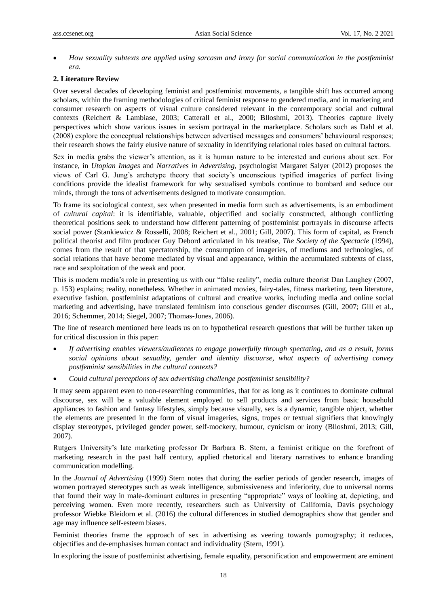*How sexuality subtexts are applied using sarcasm and irony for social communication in the postfeminist era.*

#### **2. Literature Review**

Over several decades of developing feminist and postfeminist movements, a tangible shift has occurred among scholars, within the framing methodologies of critical feminist response to gendered media, and in marketing and consumer research on aspects of visual culture considered relevant in the contemporary social and cultural contexts (Reichert & Lambiase, 2003; Catterall et al., 2000; Blloshmi, 2013). Theories capture lively perspectives which show various issues in sexism portrayal in the marketplace. Scholars such as Dahl et al. (2008) explore the conceptual relationships between advertised messages and consumers" behavioural responses; their research shows the fairly elusive nature of sexuality in identifying relational roles based on cultural factors.

Sex in media grabs the viewer's attention, as it is human nature to be interested and curious about sex. For instance, in *Utopian Images* and *Narratives in Advertising*, psychologist Margaret Salyer (2012) proposes the views of Carl G. Jung"s archetype theory that society"s unconscious typified imageries of perfect living conditions provide the idealist framework for why sexualised symbols continue to bombard and seduce our minds, through the tons of advertisements designed to motivate consumption.

To frame its sociological context, sex when presented in media form such as advertisements, is an embodiment of *cultural capital*: it is identifiable, valuable, objectified and socially constructed, although conflicting theoretical positions seek to understand how different patterning of postfeminist portrayals in discourse affects social power (Stankiewicz & Rosselli, 2008; Reichert et al., 2001; Gill, 2007). This form of capital, as French political theorist and film producer Guy Debord articulated in his treatise, *The Society of the Spectacle* (1994), comes from the result of that spectatorship, the consumption of imageries, of mediums and technologies, of social relations that have become mediated by visual and appearance, within the accumulated subtexts of class, race and sexploitation of the weak and poor.

This is modern media"s role in presenting us with our "false reality", media culture theorist Dan Laughey (2007, p. 153) explains; reality, nonetheless. Whether in animated movies, fairy-tales, fitness marketing, teen literature, executive fashion, postfeminist adaptations of cultural and creative works, including media and online social marketing and advertising, have translated feminism into conscious gender discourses (Gill, 2007; Gill et al., 2016; Schemmer, 2014; Siegel, 2007; Thomas-Jones, 2006).

The line of research mentioned here leads us on to hypothetical research questions that will be further taken up for critical discussion in this paper:

- *If advertising enables viewers/audiences to engage powerfully through spectating, and as a result, forms social opinions about sexuality, gender and identity discourse, what aspects of advertising convey postfeminist sensibilities in the cultural contexts?*
- *Could cultural perceptions of sex advertising challenge postfeminist sensibility?*

It may seem apparent even to non-researching communities, that for as long as it continues to dominate cultural discourse, sex will be a valuable element employed to sell products and services from basic household appliances to fashion and fantasy lifestyles, simply because visually, sex is a dynamic, tangible object, whether the elements are presented in the form of visual imageries, signs, tropes or textual signifiers that knowingly display stereotypes, privileged gender power, self-mockery, humour, cynicism or irony (Blloshmi, 2013; Gill, 2007).

Rutgers University"s late marketing professor Dr Barbara B. Stern, a feminist critique on the forefront of marketing research in the past half century, applied rhetorical and literary narratives to enhance branding communication modelling.

In the *Journal of Advertising* (1999) Stern notes that during the earlier periods of gender research, images of women portrayed stereotypes such as weak intelligence, submissiveness and inferiority, due to universal norms that found their way in male-dominant cultures in presenting "appropriate" ways of looking at, depicting, and perceiving women. Even more recently, researchers such as University of California, Davis psychology professor Wiebke Bleidorn et al. (2016) the cultural differences in studied demographics show that gender and age may influence self-esteem biases.

Feminist theories frame the approach of sex in advertising as veering towards pornography; it reduces, objectifies and de-emphasises human contact and individuality (Stern, 1991).

In exploring the issue of postfeminist advertising, female equality, personification and empowerment are eminent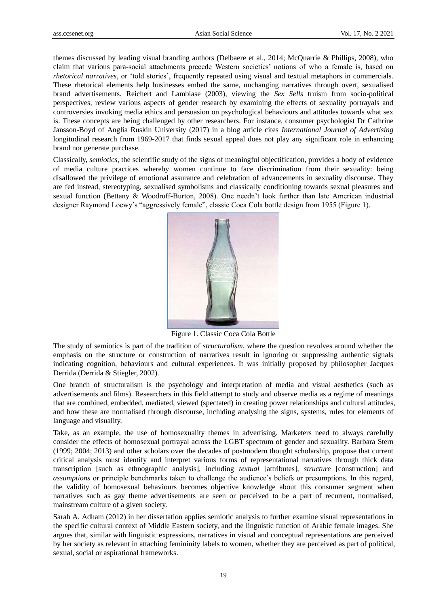themes discussed by leading visual branding authors (Delbaere et al., 2014; McQuarrie & Phillips, 2008), who claim that various para-social attachments precede Western societies" notions of who a female is, based on *rhetorical narratives*, or "told stories", frequently repeated using visual and textual metaphors in commercials. These rhetorical elements help businesses embed the same, unchanging narratives through overt, sexualised brand advertisements. Reichert and Lambiase (2003), viewing the *Sex Sells* truism from socio-political perspectives, review various aspects of gender research by examining the effects of sexuality portrayals and controversies invoking media ethics and persuasion on psychological behaviours and attitudes towards what sex is. These concepts are being challenged by other researchers. For instance, consumer psychologist Dr Cathrine Jansson-Boyd of Anglia Ruskin University (2017) in a blog article cites *International Journal of Advertising* longitudinal research from 1969-2017 that finds sexual appeal does not play any significant role in enhancing brand nor generate purchase.

Classically, *semiotics*, the scientific study of the signs of meaningful objectification, provides a body of evidence of media culture practices whereby women continue to face discrimination from their sexuality: being disallowed the privilege of emotional assurance and celebration of advancements in sexuality discourse. They are fed instead, stereotyping, sexualised symbolisms and classically conditioning towards sexual pleasures and sexual function (Bettany & Woodruff-Burton, 2008). One needn"t look further than late American industrial designer Raymond Loewy"s "aggressively female", classic Coca Cola bottle design from 1955 (Figure 1).



Figure 1. Classic Coca Cola Bottle

The study of semiotics is part of the tradition of *structuralism*, where the question revolves around whether the emphasis on the structure or construction of narratives result in ignoring or suppressing authentic signals indicating cognition, behaviours and cultural experiences. It was initially proposed by philosopher Jacques Derrida (Derrida & Stiegler, 2002).

One branch of structuralism is the psychology and interpretation of media and visual aesthetics (such as advertisements and films). Researchers in this field attempt to study and observe media as a regime of meanings that are combined, embedded, mediated, viewed (spectated) in creating power relationships and cultural attitudes, and how these are normalised through discourse, including analysing the signs, systems, rules for elements of language and visuality.

Take, as an example, the use of homosexuality themes in advertising. Marketers need to always carefully consider the effects of homosexual portrayal across the LGBT spectrum of gender and sexuality. Barbara Stern (1999; 2004; 2013) and other scholars over the decades of postmodern thought scholarship, propose that current critical analysis must identify and interpret various forms of representational narratives through thick data transcription [such as ethnographic analysis], including *textual* [attributes], *structure* [construction] and *assumptions* or principle benchmarks taken to challenge the audience"s beliefs or presumptions. In this regard, the validity of homosexual behaviours becomes objective knowledge about this consumer segment when narratives such as gay theme advertisements are seen or perceived to be a part of recurrent, normalised, mainstream culture of a given society.

Sarah A. Adham (2012) in her dissertation applies semiotic analysis to further examine visual representations in the specific cultural context of Middle Eastern society, and the linguistic function of Arabic female images. She argues that, similar with linguistic expressions, narratives in visual and conceptual representations are perceived by her society as relevant in attaching femininity labels to women, whether they are perceived as part of political, sexual, social or aspirational frameworks.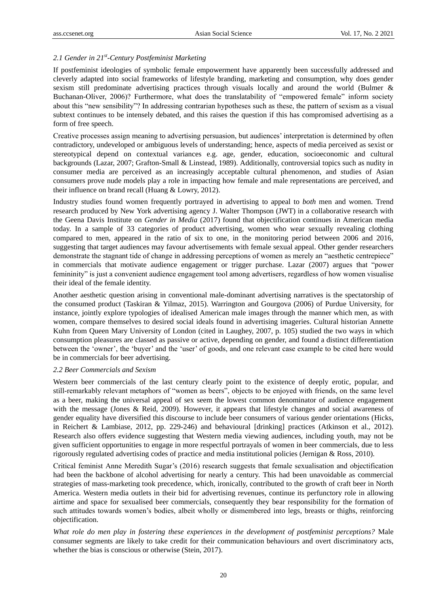# *2.1 Gender in 21st -Century Postfeminist Marketing*

If postfeminist ideologies of symbolic female empowerment have apparently been successfully addressed and cleverly adapted into social frameworks of lifestyle branding, marketing and consumption, why does gender sexism still predominate advertising practices through visuals locally and around the world (Bulmer & Buchanan-Oliver, 2006)? Furthermore, what does the translatability of "empowered female" inform society about this "new sensibility"? In addressing contrarian hypotheses such as these, the pattern of sexism as a visual subtext continues to be intensely debated, and this raises the question if this has compromised advertising as a form of free speech.

Creative processes assign meaning to advertising persuasion, but audiences" interpretation is determined by often contradictory, undeveloped or ambiguous levels of understanding; hence, aspects of media perceived as sexist or stereotypical depend on contextual variances e.g. age, gender, education, socioeconomic and cultural backgrounds (Lazar, 2007; Grafton-Small & Linstead, 1989). Additionally, controversial topics such as nudity in consumer media are perceived as an increasingly acceptable cultural phenomenon, and studies of Asian consumers prove nude models play a role in impacting how female and male representations are perceived, and their influence on brand recall (Huang & Lowry, 2012).

Industry studies found women frequently portrayed in advertising to appeal to *both* men and women. Trend research produced by New York advertising agency J. Walter Thompson (JWT) in a collaborative research with the Geena Davis Institute on *Gender in Media* (2017) found that objectification continues in American media today. In a sample of 33 categories of product advertising, women who wear sexually revealing clothing compared to men, appeared in the ratio of six to one, in the monitoring period between 2006 and 2016, suggesting that target audiences may favour advertisements with female sexual appeal. Other gender researchers demonstrate the stagnant tide of change in addressing perceptions of women as merely an "aesthetic centrepiece" in commercials that motivate audience engagement or trigger purchase. Lazar (2007) argues that "power femininity" is just a convenient audience engagement tool among advertisers, regardless of how women visualise their ideal of the female identity.

Another aesthetic question arising in conventional male-dominant advertising narratives is the spectatorship of the consumed product (Taskiran & Yilmaz, 2015). Warrington and Gourgova (2006) of Purdue University, for instance, jointly explore typologies of idealised American male images through the manner which men, as with women, compare themselves to desired social ideals found in advertising imageries. Cultural historian Annette Kuhn from Queen Mary University of London (cited in Laughey, 2007, p. 105) studied the two ways in which consumption pleasures are classed as passive or active, depending on gender, and found a distinct differentiation between the "owner", the "buyer" and the "user" of goods, and one relevant case example to be cited here would be in commercials for beer advertising.

#### *2.2 Beer Commercials and Sexism*

Western beer commercials of the last century clearly point to the existence of deeply erotic, popular, and still-remarkably relevant metaphors of "women as beers", objects to be enjoyed with friends, on the same level as a beer, making the universal appeal of sex seem the lowest common denominator of audience engagement with the message (Jones & Reid, 2009). However, it appears that lifestyle changes and social awareness of gender equality have diversified this discourse to include beer consumers of various gender orientations (Hicks, in Reichert & Lambiase, 2012, pp. 229-246) and behavioural [drinking] practices (Atkinson et al., 2012). Research also offers evidence suggesting that Western media viewing audiences, including youth, may not be given sufficient opportunities to engage in more respectful portrayals of women in beer commercials, due to less rigorously regulated advertising codes of practice and media institutional policies (Jernigan & Ross, 2010).

Critical feminist Anne Meredith Sugar"s (2016) research suggests that female sexualisation and objectification had been the backbone of alcohol advertising for nearly a century. This had been unavoidable as commercial strategies of mass-marketing took precedence, which, ironically, contributed to the growth of craft beer in North America. Western media outlets in their bid for advertising revenues, continue its perfunctory role in allowing airtime and space for sexualised beer commercials, consequently they bear responsibility for the formation of such attitudes towards women"s bodies, albeit wholly or dismembered into legs, breasts or thighs, reinforcing objectification.

*What role do men play in fostering these experiences in the development of postfeminist perceptions?* Male consumer segments are likely to take credit for their communication behaviours and overt discriminatory acts, whether the bias is conscious or otherwise (Stein, 2017).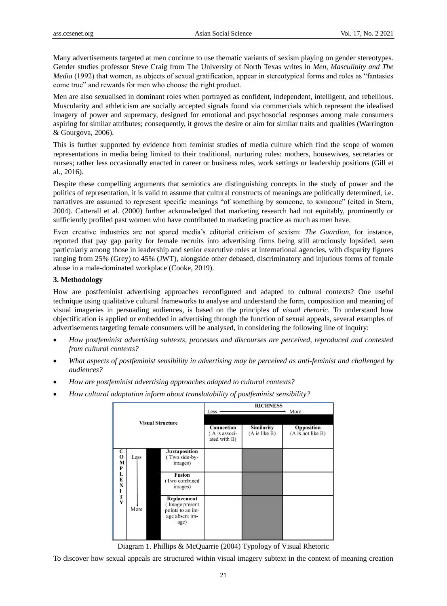Many advertisements targeted at men continue to use thematic variants of sexism playing on gender stereotypes. Gender studies professor Steve Craig from The University of North Texas writes in *Men, Masculinity and The Media* (1992) that women, as objects of sexual gratification, appear in stereotypical forms and roles as "fantasies come true" and rewards for men who choose the right product.

Men are also sexualised in dominant roles when portrayed as confident, independent, intelligent, and rebellious. Muscularity and athleticism are socially accepted signals found via commercials which represent the idealised imagery of power and supremacy, designed for emotional and psychosocial responses among male consumers aspiring for similar attributes; consequently, it grows the desire or aim for similar traits and qualities (Warrington & Gourgova, 2006).

This is further supported by evidence from feminist studies of media culture which find the scope of women representations in media being limited to their traditional, nurturing roles: mothers, housewives, secretaries or nurses; rather less occasionally enacted in career or business roles, work settings or leadership positions (Gill et al., 2016).

Despite these compelling arguments that semiotics are distinguishing concepts in the study of power and the politics of representation, it is valid to assume that cultural constructs of meanings are politically determined, i.e. narratives are assumed to represent specific meanings "of something by someone, to someone" (cited in Stern, 2004). Catterall et al. (2000) further acknowledged that marketing research had not equitably, prominently or sufficiently profiled past women who have contributed to marketing practice as much as men have.

Even creative industries are not spared media"s editorial criticism of sexism: *The Guardian*, for instance, reported that pay gap parity for female recruits into advertising firms being still atrociously lopsided, seen particularly among those in leadership and senior executive roles at international agencies, with disparity figures ranging from 25% (Grey) to 45% (JWT), alongside other debased, discriminatory and injurious forms of female abuse in a male-dominated workplace (Cooke, 2019).

# **3. Methodology**

How are postfeminist advertising approaches reconfigured and adapted to cultural contexts? One useful technique using qualitative cultural frameworks to analyse and understand the form, composition and meaning of visual imageries in persuading audiences, is based on the principles of *visual rhetoric*. To understand how objectification is applied or embedded in advertising through the function of sexual appeals, several examples of advertisements targeting female consumers will be analysed, in considering the following line of inquiry:

- *How postfeminist advertising subtexts, processes and discourses are perceived, reproduced and contested from cultural contexts?*
- *What aspects of postfeminist sensibility in advertising may be perceived as anti-feminist and challenged by audiences?*
- *How are postfeminist advertising approaches adapted to cultural contexts?*
- *How cultural adaptation inform about translatability of postfeminist sensibility?*

| <b>Visual Structure</b>                       |      | <b>RICHNESS</b><br>More<br>Less                                             |                             |                                     |  |
|-----------------------------------------------|------|-----------------------------------------------------------------------------|-----------------------------|-------------------------------------|--|
|                                               |      |                                                                             |                             |                                     |  |
|                                               |      | Connection<br>(A is associ-<br>ated with B)                                 | Similarity<br>(A is like B) | Opposition<br>$(A$ is not like $B)$ |  |
| С<br>O<br>M<br>P                              | Less | <b>Juxtaposition</b><br>(Two side-by-<br>images)                            |                             |                                     |  |
| L<br>E<br>X<br>I<br>$\mathbf{T}_{\mathbf{Y}}$ | More | <b>Fusion</b><br>(Two combined<br>images)                                   |                             |                                     |  |
|                                               |      | Replacement<br>(Image present<br>points to an im-<br>age absent im-<br>age) |                             |                                     |  |

Diagram 1. Phillips & McQuarrie (2004) Typology of Visual Rhetoric

To discover how sexual appeals are structured within visual imagery subtext in the context of meaning creation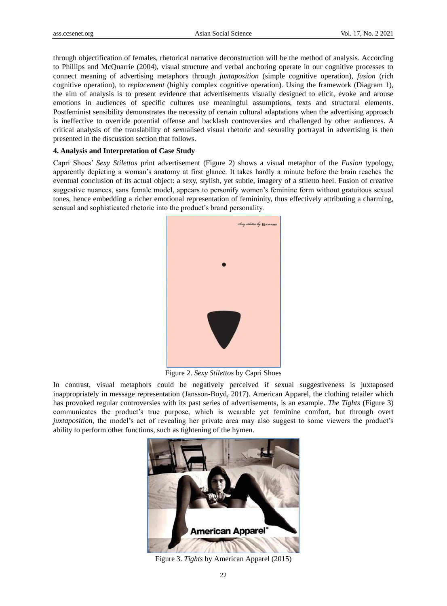through objectification of females, rhetorical narrative deconstruction will be the method of analysis. According to Phillips and McQuarrie (2004), visual structure and verbal anchoring operate in our cognitive processes to connect meaning of advertising metaphors through *juxtaposition* (simple cognitive operation), *fusion* (rich cognitive operation), to *replacement* (highly complex cognitive operation). Using the framework (Diagram 1), the aim of analysis is to present evidence that advertisements visually designed to elicit, evoke and arouse emotions in audiences of specific cultures use meaningful assumptions, texts and structural elements. Postfeminist sensibility demonstrates the necessity of certain cultural adaptations when the advertising approach is ineffective to override potential offense and backlash controversies and challenged by other audiences. A critical analysis of the translability of sexualised visual rhetoric and sexuality portrayal in advertising is then presented in the discussion section that follows.

#### **4. Analysis and Interpretation of Case Study**

Capri Shoes" *Sexy Stilettos* print advertisement (Figure 2) shows a visual metaphor of the *Fusion* typology, apparently depicting a woman"s anatomy at first glance. It takes hardly a minute before the brain reaches the eventual conclusion of its actual object: a sexy, stylish, yet subtle, imagery of a stiletto heel. Fusion of creative suggestive nuances, sans female model, appears to personify women"s feminine form without gratuitous sexual tones, hence embedding a richer emotional representation of femininity, thus effectively attributing a charming, sensual and sophisticated rhetoric into the product's brand personality.



Figure 2. *Sexy Stilettos* by Capri Shoes

In contrast, visual metaphors could be negatively perceived if sexual suggestiveness is juxtaposed inappropriately in message representation (Jansson-Boyd, 2017). American Apparel, the clothing retailer which has provoked regular controversies with its past series of advertisements, is an example. *The Tights* (Figure 3) communicates the product"s true purpose, which is wearable yet feminine comfort, but through overt *juxtaposition*, the model's act of revealing her private area may also suggest to some viewers the product's ability to perform other functions, such as tightening of the hymen.



Figure 3. *Tights* by American Apparel (2015)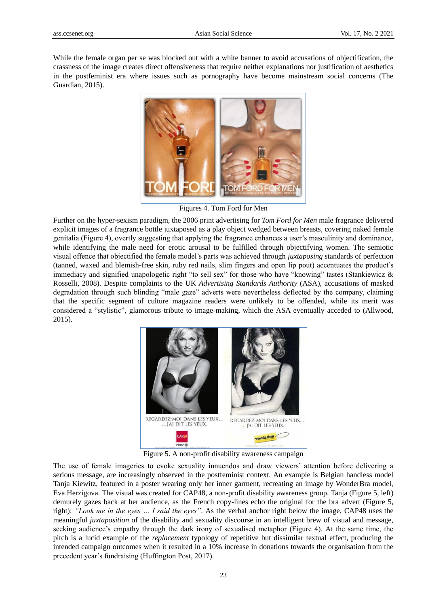While the female organ per se was blocked out with a white banner to avoid accusations of objectification, the crassness of the image creates direct offensiveness that require neither explanations nor justification of aesthetics in the postfeminist era where issues such as pornography have become mainstream social concerns (The Guardian, 2015).



Figures 4. Tom Ford for Men

Further on the hyper-sexism paradigm, the 2006 print advertising for *Tom Ford for Men* male fragrance delivered explicit images of a fragrance bottle juxtaposed as a play object wedged between breasts, covering naked female genitalia (Figure 4), overtly suggesting that applying the fragrance enhances a user"s masculinity and dominance, while identifying the male need for erotic arousal to be fulfilled through objectifying women. The semiotic visual offence that objectified the female model"s parts was achieved through *juxtaposing* standards of perfection (tanned, waxed and blemish-free skin, ruby red nails, slim fingers and open lip pout) accentuates the product"s immediacy and signified unapologetic right "to sell sex" for those who have "knowing" tastes (Stankiewicz & Rosselli, 2008). Despite complaints to the UK *Advertising Standards Authority* (ASA), accusations of masked degradation through such blinding "male gaze" adverts were nevertheless deflected by the company, claiming that the specific segment of culture magazine readers were unlikely to be offended, while its merit was considered a "stylistic", glamorous tribute to image-making, which the ASA eventually acceded to (Allwood, 2015).



Figure 5. A non-profit disability awareness campaign

The use of female imageries to evoke sexuality innuendos and draw viewers" attention before delivering a serious message, are increasingly observed in the postfeminist context. An example is Belgian handless model Tanja Kiewitz, featured in a poster wearing only her inner garment, recreating an image by WonderBra model, Eva Herzigova. The visual was created for CAP48, a non-profit disability awareness group. Tanja (Figure 5, left) demurely gazes back at her audience, as the French copy-lines echo the original for the bra advert (Figure 5, right): *"Look me in the eyes … I said the eyes"*. As the verbal anchor right below the image, CAP48 uses the meaningful *juxtaposition* of the disability and sexuality discourse in an intelligent brew of visual and message, seeking audience's empathy through the dark irony of sexualised metaphor (Figure 4). At the same time, the pitch is a lucid example of the *replacement* typology of repetitive but dissimilar textual effect, producing the intended campaign outcomes when it resulted in a 10% increase in donations towards the organisation from the precedent year's fundraising (Huffington Post, 2017).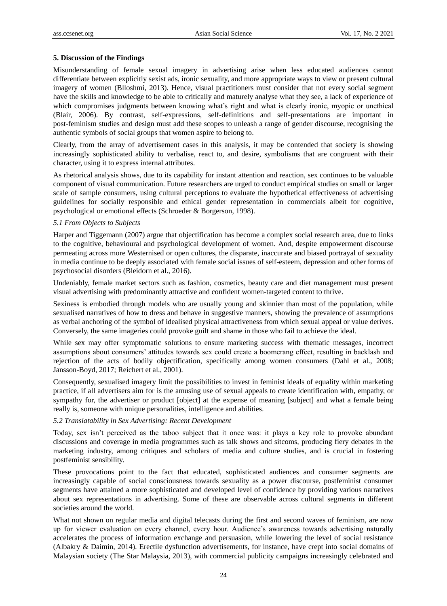#### **5. Discussion of the Findings**

Misunderstanding of female sexual imagery in advertising arise when less educated audiences cannot differentiate between explicitly sexist ads, ironic sexuality, and more appropriate ways to view or present cultural imagery of women (Blloshmi, 2013). Hence, visual practitioners must consider that not every social segment have the skills and knowledge to be able to critically and maturely analyse what they see, a lack of experience of which compromises judgments between knowing what's right and what is clearly ironic, myopic or unethical (Blair, 2006). By contrast, self-expressions, self-definitions and self-presentations are important in post-feminism studies and design must add these scopes to unleash a range of gender discourse, recognising the authentic symbols of social groups that women aspire to belong to.

Clearly, from the array of advertisement cases in this analysis, it may be contended that society is showing increasingly sophisticated ability to verbalise, react to, and desire, symbolisms that are congruent with their character, using it to express internal attributes.

As rhetorical analysis shows, due to its capability for instant attention and reaction, sex continues to be valuable component of visual communication. Future researchers are urged to conduct empirical studies on small or larger scale of sample consumers, using cultural perceptions to evaluate the hypothetical effectiveness of advertising guidelines for socially responsible and ethical gender representation in commercials albeit for cognitive, psychological or emotional effects (Schroeder & Borgerson, 1998).

#### *5.1 From Objects to Subjects*

Harper and Tiggemann (2007) argue that objectification has become a complex social research area, due to links to the cognitive, behavioural and psychological development of women. And, despite empowerment discourse permeating across more Westernised or open cultures, the disparate, inaccurate and biased portrayal of sexuality in media continue to be deeply associated with female social issues of self-esteem, depression and other forms of psychosocial disorders (Bleidorn et al., 2016).

Undeniably, female market sectors such as fashion, cosmetics, beauty care and diet management must present visual advertising with predominantly attractive and confident women-targeted content to thrive.

Sexiness is embodied through models who are usually young and skinnier than most of the population, while sexualised narratives of how to dress and behave in suggestive manners, showing the prevalence of assumptions as verbal anchoring of the symbol of idealised physical attractiveness from which sexual appeal or value derives. Conversely, the same imageries could provoke guilt and shame in those who fail to achieve the ideal.

While sex may offer symptomatic solutions to ensure marketing success with thematic messages, incorrect assumptions about consumers" attitudes towards sex could create a boomerang effect, resulting in backlash and rejection of the acts of bodily objectification, specifically among women consumers (Dahl et al., 2008; Jansson-Boyd, 2017; Reichert et al., 2001).

Consequently, sexualised imagery limit the possibilities to invest in feminist ideals of equality within marketing practice, if all advertisers aim for is the amusing use of sexual appeals to create identification with, empathy, or sympathy for, the advertiser or product [object] at the expense of meaning [subject] and what a female being really is, someone with unique personalities, intelligence and abilities.

#### *5.2 Translatability in Sex Advertising: Recent Development*

Today, sex isn"t perceived as the taboo subject that it once was: it plays a key role to provoke abundant discussions and coverage in media programmes such as talk shows and sitcoms, producing fiery debates in the marketing industry, among critiques and scholars of media and culture studies, and is crucial in fostering postfeminist sensibility.

These provocations point to the fact that educated, sophisticated audiences and consumer segments are increasingly capable of social consciousness towards sexuality as a power discourse, postfeminist consumer segments have attained a more sophisticated and developed level of confidence by providing various narratives about sex representations in advertising. Some of these are observable across cultural segments in different societies around the world.

What not shown on regular media and digital telecasts during the first and second waves of feminism, are now up for viewer evaluation on every channel, every hour. Audience"s awareness towards advertising naturally accelerates the process of information exchange and persuasion, while lowering the level of social resistance (Albakry & Daimin, 2014). Erectile dysfunction advertisements, for instance, have crept into social domains of Malaysian society (The Star Malaysia, 2013), with commercial publicity campaigns increasingly celebrated and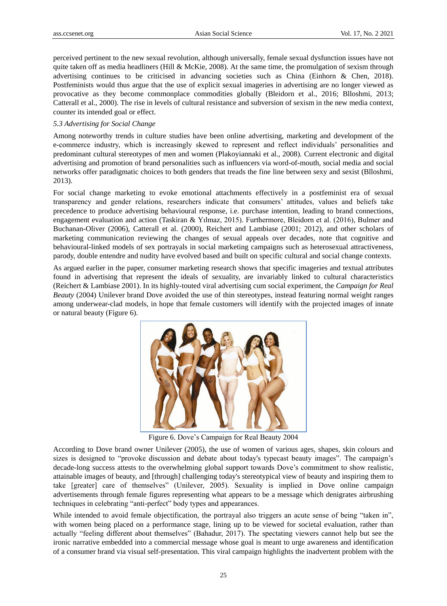perceived pertinent to the new sexual revolution, although universally, female sexual dysfunction issues have not quite taken off as media headliners (Hill & McKie, 2008). At the same time, the promulgation of sexism through advertising continues to be criticised in advancing societies such as China (Einhorn & Chen, 2018). Postfeminists would thus argue that the use of explicit sexual imageries in advertising are no longer viewed as provocative as they become commonplace commodities globally (Bleidorn et al., 2016; Blloshmi, 2013; Catterall et al., 2000). The rise in levels of cultural resistance and subversion of sexism in the new media context, counter its intended goal or effect.

#### *5.3 Advertising for Social Change*

Among noteworthy trends in culture studies have been online advertising, marketing and development of the e-commerce industry, which is increasingly skewed to represent and reflect individuals" personalities and predominant cultural stereotypes of men and women (Plakoyiannaki et al., 2008). Current electronic and digital advertising and promotion of brand personalities such as influencers via word-of-mouth, social media and social networks offer paradigmatic choices to both genders that treads the fine line between sexy and sexist (Blloshmi, 2013).

For social change marketing to evoke emotional attachments effectively in a postfeminist era of sexual transparency and gender relations, researchers indicate that consumers" attitudes, values and beliefs take precedence to produce advertising behavioural response, i.e. purchase intention, leading to brand connections, engagement evaluation and action (Taskiran & Yılmaz, 2015). Furthermore, Bleidorn et al. (2016), Bulmer and Buchanan-Oliver (2006), Catterall et al. (2000), Reichert and Lambiase (2001; 2012), and other scholars of marketing communication reviewing the changes of sexual appeals over decades, note that cognitive and behavioural-linked models of sex portrayals in social marketing campaigns such as heterosexual attractiveness, parody, double entendre and nudity have evolved based and built on specific cultural and social change contexts.

As argued earlier in the paper, consumer marketing research shows that specific imageries and textual attributes found in advertising that represent the ideals of sexuality, are invariably linked to cultural characteristics (Reichert & Lambiase 2001). In its highly-touted viral advertising cum social experiment, the *Campaign for Real Beauty* (2004) Unilever brand Dove avoided the use of thin stereotypes, instead featuring normal weight ranges among underwear-clad models, in hope that female customers will identify with the projected images of innate or natural beauty (Figure 6).



Figure 6. Dove"s Campaign for Real Beauty 2004

According to Dove brand owner Unilever (2005), the use of women of various ages, shapes, skin colours and sizes is designed to "provoke discussion and debate about today's typecast beauty images". The campaign"s decade-long success attests to the overwhelming global support towards Dove"s commitment to show realistic, attainable images of beauty, and [through] challenging today's stereotypical view of beauty and inspiring them to take [greater] care of themselves" (Unilever, 2005). Sexuality is implied in Dove online campaign advertisements through female figures representing what appears to be a message which denigrates airbrushing techniques in celebrating "anti-perfect" body types and appearances.

While intended to avoid female objectification, the portrayal also triggers an acute sense of being "taken in", with women being placed on a performance stage, lining up to be viewed for societal evaluation, rather than actually "feeling different about themselves" (Bahadur, 2017). The spectating viewers cannot help but see the ironic narrative embedded into a commercial message whose goal is meant to urge awareness and identification of a consumer brand via visual self-presentation. This viral campaign highlights the inadvertent problem with the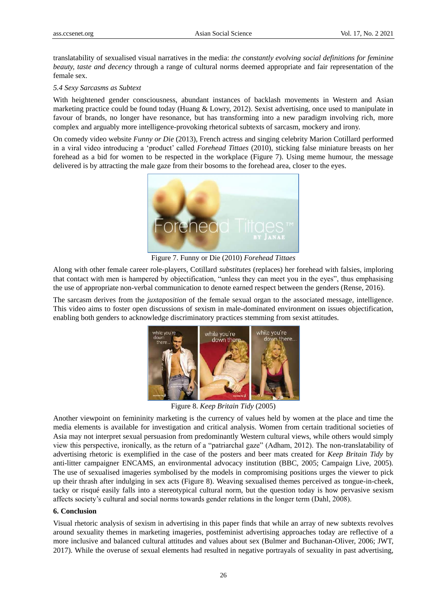translatability of sexualised visual narratives in the media: *the constantly evolving social definitions for feminine beauty, taste and decency* through a range of cultural norms deemed appropriate and fair representation of the female sex.

#### *5.4 Sexy Sarcasms as Subtext*

With heightened gender consciousness, abundant instances of backlash movements in Western and Asian marketing practice could be found today (Huang & Lowry, 2012). Sexist advertising, once used to manipulate in favour of brands, no longer have resonance, but has transforming into a new paradigm involving rich, more complex and arguably more intelligence-provoking rhetorical subtexts of sarcasm, mockery and irony.

On comedy video website *Funny or Die* (2013), French actress and singing celebrity Marion Cotillard performed in a viral video introducing a "product" called *Forehead Tittaes* (2010), sticking false miniature breasts on her forehead as a bid for women to be respected in the workplace (Figure 7). Using meme humour, the message delivered is by attracting the male gaze from their bosoms to the forehead area, closer to the eyes.



Figure 7. Funny or Die (2010) *Forehead Tittaes*

Along with other female career role-players, Cotillard *substitutes* (replaces) her forehead with falsies, imploring that contact with men is hampered by objectification, "unless they can meet you in the eyes", thus emphasising the use of appropriate non-verbal communication to denote earned respect between the genders (Rense, 2016).

The sarcasm derives from the *juxtaposition* of the female sexual organ to the associated message, intelligence. This video aims to foster open discussions of sexism in male-dominated environment on issues objectification, enabling both genders to acknowledge discriminatory practices stemming from sexist attitudes.



Figure 8. *Keep Britain Tidy* (2005)

Another viewpoint on femininity marketing is the currency of values held by women at the place and time the media elements is available for investigation and critical analysis. Women from certain traditional societies of Asia may not interpret sexual persuasion from predominantly Western cultural views, while others would simply view this perspective, ironically, as the return of a "patriarchal gaze" (Adham, 2012). The non-translatability of advertising rhetoric is exemplified in the case of the posters and beer mats created for *Keep Britain Tidy* by anti-litter campaigner ENCAMS, an environmental advocacy institution (BBC, 2005; Campaign Live, 2005). The use of sexualised imageries symbolised by the models in compromising positions urges the viewer to pick up their thrash after indulging in sex acts (Figure 8). Weaving sexualised themes perceived as tongue-in-cheek, tacky or risqué easily falls into a stereotypical cultural norm, but the question today is how pervasive sexism affects society"s cultural and social norms towards gender relations in the longer term (Dahl, 2008).

## **6. Conclusion**

Visual rhetoric analysis of sexism in advertising in this paper finds that while an array of new subtexts revolves around sexuality themes in marketing imageries, postfeminist advertising approaches today are reflective of a more inclusive and balanced cultural attitudes and values about sex (Bulmer and Buchanan-Oliver, 2006; JWT, 2017). While the overuse of sexual elements had resulted in negative portrayals of sexuality in past advertising,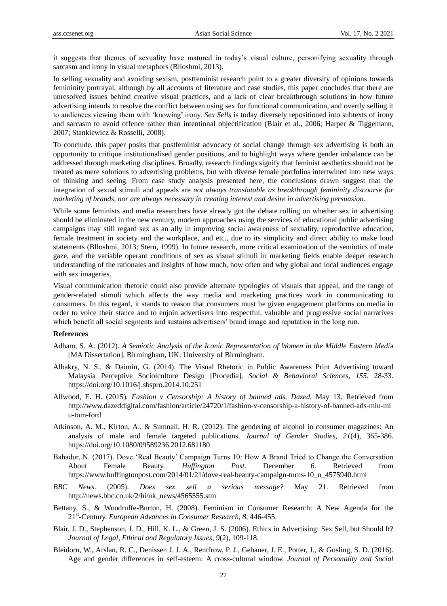it suggests that themes of sexuality have matured in today's visual culture, personifying sexuality through sarcasm and irony in visual metaphors (Blloshmi, 2013).

In selling sexuality and avoiding sexism, postfeminist research point to a greater diversity of opinions towards femininity portrayal, although by all accounts of literature and case studies, this paper concludes that there are unresolved issues behind creative visual practices, and a lack of clear breakthrough solutions in how future advertising intends to resolve the conflict between using sex for functional communication, and overtly selling it to audiences viewing them with "knowing" irony. *Sex Sells* is today diversely repositioned into subtexts of irony and sarcasm to avoid offence rather than intentional objectification (Blair et al., 2006; Harper & Tiggemann, 2007; Stankiewicz & Rosselli, 2008).

To conclude, this paper posits that postfeminist advocacy of social change through sex advertising is both an opportunity to critique institutionalised gender positions, and to highlight ways where gender imbalance can be addressed through marketing disciplines. Broadly, research findings signify that feminist aesthetics should not be treated as mere solutions to advertising problems, but with diverse female portfolios intertwined into new ways of thinking and seeing. From case study analysis presented here, the conclusions drawn suggest that the integration of sexual stimuli and appeals are *not always translatable as breakthrough femininity discourse for marketing of brands, nor are always necessary in creating interest and desire in advertising persuasion*.

While some feminists and media researchers have already got the debate rolling on whether sex in advertising should be eliminated in the new century, modern approaches using the services of educational public advertising campaigns may still regard sex as an ally in improving social awareness of sexuality, reproductive education, female treatment in society and the workplace, and etc., due to its simplicity and direct ability to make loud statements (Blloshmi, 2013; Stern, 1999). In future research, more critical examination of the semiotics of male gaze, and the variable operant conditions of sex as visual stimuli in marketing fields enable deeper research understanding of the rationales and insights of how much, how often and why global and local audiences engage with sex imageries.

Visual communication rhetoric could also provide alternate typologies of visuals that appeal, and the range of gender-related stimuli which affects the way media and marketing practices work in communicating to consumers. In this regard, it stands to reason that consumers must be given engagement platforms on media in order to voice their stance and to enjoin advertisers into respectful, valuable and progressive social narratives which benefit all social segments and sustains advertisers" brand image and reputation in the long run.

### **References**

- Adham, S. A. (2012). *A Semiotic Analysis of the Iconic Representation of Women in the Middle Eastern Medi*a [MA Dissertation]. Birmingham, UK: University of Birmingham.
- Albakry, N. S., & Daimin, G. (2014). The Visual Rhetoric in Public Awareness Print Advertising toward Malaysia Perceptive Sociolculture Design [Procedia]. *Social & Behavioral Sciences, 155,* 28-33. <https://doi.org/10.1016/j.sbspro.2014.10.251>
- Allwood, E. H. (2015). *Fashion v Censorship: A history of banned ads. Dazed.* May 13. Retrieved from [http://www.dazeddigital.com/fashion/article/24720/1/fashion-v-censorship-a-history-of-banned-ads-miu-mi](http://www.dazeddigital.com/fashion/article/24720/1/fashion-v-censorship-a-history-of-banned-ads-miu-miu-tom-ford) [u-tom-ford](http://www.dazeddigital.com/fashion/article/24720/1/fashion-v-censorship-a-history-of-banned-ads-miu-miu-tom-ford)
- Atkinson, A. M., Kirton, A., & Sumnall, H. R. (2012). The gendering of alcohol in consumer magazines: An analysis of male and female targeted publications. *Journal of Gender Studies, 21*(4), 365-386. <https://doi.org/10.1080/09589236.2012.681180>
- Bahadur, N. (2017). Dove "Real Beauty" Campaign Turns 10: How A Brand Tried to Change the Conversation About Female Beauty. *Huffington Post*. December 6. Retrieved from [https://www.huffingtonpost.com/2014/01/21/dove-real-beauty-campaign-turns-10\\_n\\_4575940.html](https://www.huffingtonpost.com/2014/01/21/dove-real-beauty-campaign-turns-10_n_4575940.html)
- *BBC News*. (2005). *Does sex sell a serious message?* May 21. Retrieved from [http://news.bbc.co.uk/2/hi/uk\\_news/4565555.stm](http://news.bbc.co.uk/2/hi/uk_news/4565555.stm)
- Bettany, S., & Woodruffe-Burton, H. (2008). Feminism in Consumer Research: A New Agenda for the 21st -Century. *European Advances in Consumer Research, 8*, 446-455.
- Blair, J. D., Stephenson, J. D., Hill, K. L., & Green, J. S. (2006). Ethics in Advertising: Sex Sell, but Should It? *Journal of Legal, Ethical and Regulatory Issues, 9*(2), 109-118.
- Bleidorn, W., Arslan, R. C., Denissen J. J. A., Rentfrow, P. J., Gebauer, J. E., Potter, J., & Gosling, S. D. (2016). Age and gender differences in self-esteem: A cross-cultural window. *Journal of Personality and Social*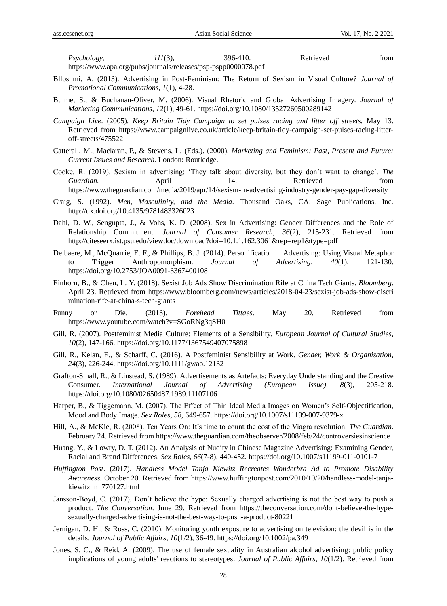Psychology,  $III(3)$ , 396-410. Retrieved from <https://www.apa.org/pubs/journals/releases/psp-pspp0000078.pdf>

- Blloshmi, A. (2013). Advertising in Post-Feminism: The Return of Sexism in Visual Culture? *Journal of Promotional Communications, 1*(1), 4-28.
- Bulme, S., & Buchanan-Oliver, M. (2006). Visual Rhetoric and Global Advertising Imagery. *Journal of Marketing Communications, 12***(**1), 49-61.<https://doi.org/10.1080/13527260500289142>
- *Campaign Live*. (2005). *Keep Britain Tidy Campaign to set pulses racing and litter off streets.* May 13. Retrieved from [https://www.campaignlive.co.uk/article/keep-britain-tidy-campaign-set-pulses-racing-litter](https://www.campaignlive.co.uk/article/keep-britain-tidy-campaign-set-pulses-racing-litter-off-streets/475522)[off-streets/475522](https://www.campaignlive.co.uk/article/keep-britain-tidy-campaign-set-pulses-racing-litter-off-streets/475522)
- Catterall, M., Maclaran, P., & Stevens, L. (Eds.). (2000). *Marketing and Feminism: Past, Present and Future: Current Issues and Research.* London: Routledge.
- Cooke, R. (2019). Sexism in advertising: "They talk about diversity, but they don"t want to change". *The Guardian.* **April** 14. Retrieved from <https://www.theguardian.com/media/2019/apr/14/sexism-in-advertising-industry-gender-pay-gap-diversity>
- Craig, S. (1992). *Men, Masculinity, and the Media*. Thousand Oaks, CA: Sage Publications, Inc. <http://dx.doi.org/10.4135/9781483326023>
- Dahl, D. W., Sengupta, J., & Vohs, K. D. (2008). Sex in Advertising: Gender Differences and the Role of Relationship Commitment. *Journal of Consumer Research, 36*(2), 215-231. Retrieved from <http://citeseerx.ist.psu.edu/viewdoc/download?doi=10.1.1.162.3061&rep=rep1&type=pdf>
- Delbaere, M., McQuarrie, E. F., & Phillips, B. J. (2014). Personification in Advertising: Using Visual Metaphor to Trigger Anthropomorphism. *Journal of Advertising, 40*(1), 121-130. <https://doi.org/10.2753/JOA0091-3367400108>
- Einhorn, B., & Chen, L. Y. (2018). Sexist Job Ads Show Discrimination Rife at China Tech Giants. *Bloomberg*. April 23. Retrieved from [https://www.bloomberg.com/news/articles/2018-04-23/sexist-job-ads-show-discri](https://www.bloomberg.com/news/articles/2018-04-23/sexist-job-ads-show-discrimination-rife-at-china-s-tech-giants) [mination-rife-at-china-s-tech-giants](https://www.bloomberg.com/news/articles/2018-04-23/sexist-job-ads-show-discrimination-rife-at-china-s-tech-giants)
- Funny or Die. (2013). *Forehead Tittaes*. May 20. Retrieved from <https://www.youtube.com/watch?v=SGoRNg3qSH0>
- Gill, R. (2007). Postfeminist Media Culture: Elements of a Sensibility. *European Journal of Cultural Studies, 10*(2), 147-166.<https://doi.org/10.1177/1367549407075898>
- Gill, R., Kelan, E., & Scharff, C. (2016). A Postfeminist Sensibility at Work. *Gender, Work & Organisation, 24*(3), 226-244.<https://doi.org/10.1111/gwao.12132>
- Grafton-Small, R., & Linstead, S. (1989). Advertisements as Artefacts: Everyday Understanding and the Creative Consumer. *International Journal of Advertising (European Issue), 8*(3), 205-218. <https://doi.org/10.1080/02650487.1989.11107106>
- Harper, B., & Tiggemann, M. (2007). The Effect of Thin Ideal Media Images on Women"s Self-Objectification, Mood and Body Image. *Sex Roles, 58,* 649-657.<https://doi.org/10.1007/s11199-007-9379-x>
- Hill, A., & McKie, R. (2008). Ten Years On: It's time to count the cost of the Viagra revolution. *The Guardian*. February 24. Retrieved from<https://www.theguardian.com/theobserver/2008/feb/24/controversiesinscience>
- Huang, Y., & Lowry, D. T. (2012). An Analysis of Nudity in Chinese Magazine Advertising: Examining Gender, Racial and Brand Differences. *Sex Roles, 66*(7-8), 440-452.<https://doi.org/10.1007/s11199-011-0101-7>
- *Huffington Post*. (2017). *Handless Model Tanja Kiewitz Recreates Wonderbra Ad to Promote Disability Awareness.* October 20. Retrieved from [https://www.huffingtonpost.com/2010/10/20/handless-model-tanja](https://www.huffingtonpost.com/2010/10/20/handless-model-tanja-kiewitz_n_770127.html)[kiewitz\\_n\\_770127.html](https://www.huffingtonpost.com/2010/10/20/handless-model-tanja-kiewitz_n_770127.html)
- Jansson-Boyd, C. (2017). Don't believe the hype: Sexually charged advertising is not the best way to push a product. *The Conversation*. June 29. Retrieved from [https://theconversation.com/dont-believe-the-hype](https://theconversation.com/dont-believe-the-hype-sexually-charged-advertising-is-not-the-best-way-to-push-a-product-80221)[sexually-charged-advertising-is-not-the-best-way-to-push-a-product-80221](https://theconversation.com/dont-believe-the-hype-sexually-charged-advertising-is-not-the-best-way-to-push-a-product-80221)
- Jernigan, D. H., & Ross, C. (2010). Monitoring youth exposure to advertising on television: the devil is in the details. *Journal of Public Affairs, 10*(1/2), 36-49.<https://doi.org/10.1002/pa.349>
- Jones, S. C., & Reid, A. (2009). The use of female sexuality in Australian alcohol advertising: public policy implications of young adults' reactions to stereotypes. *Journal of Public Affairs, 10*(1/2). Retrieved from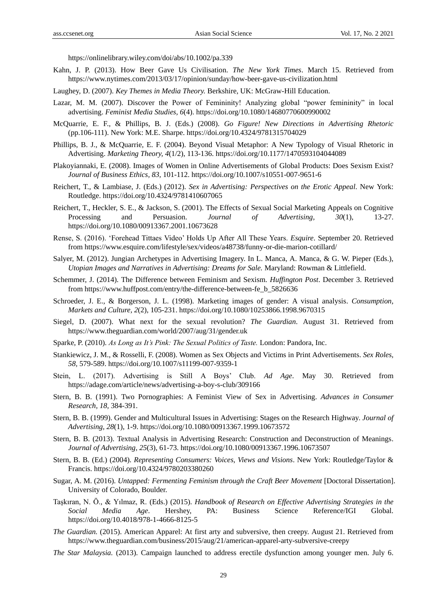<https://onlinelibrary.wiley.com/doi/abs/10.1002/pa.339>

- Kahn, J. P. (2013). How Beer Gave Us Civilisation. *The New York Times*. March 15. Retrieved from <https://www.nytimes.com/2013/03/17/opinion/sunday/how-beer-gave-us-civilization.html>
- Laughey, D. (2007). *Key Themes in Media Theory.* Berkshire, UK: McGraw-Hill Education.
- Lazar, M. M. (2007). Discover the Power of Femininity! Analyzing global "power femininity" in local advertising. *Feminist Media Studies, 6*(4)[. https://doi.org/10.1080/14680770600990002](https://doi.org/10.1080/14680770600990002)
- McQuarrie, E. F., & Phillips, B. J. (Eds.) (2008). *Go Figure! New Directions in Advertising Rhetoric* (pp.106-111). New York: M.E. Sharpe.<https://doi.org/10.4324/9781315704029>
- Phillips, B. J., & McQuarrie, E. F. (2004). Beyond Visual Metaphor: A New Typology of Visual Rhetoric in Advertising. *Marketing Theory, 4*(1/2), 113-136.<https://doi.org/10.1177/1470593104044089>
- Plakoyiannaki, E. (2008). Images of Women in Online Advertisements of Global Products: Does Sexism Exist? *Journal of Business Ethics, 83,* 101-112.<https://doi.org/10.1007/s10551-007-9651-6>
- Reichert, T., & Lambiase, J. (Eds.) (2012). *Sex in Advertising: Perspectives on the Erotic Appeal*. New York: Routledge.<https://doi.org/10.4324/9781410607065>
- Reichert, T., Heckler, S. E., & Jackson, S. (2001). The Effects of Sexual Social Marketing Appeals on Cognitive Processing and Persuasion. *Journal of Advertising, 30*(1), 13-27. <https://doi.org/10.1080/00913367.2001.10673628>
- Rense, S. (2016). "Forehead Tittaes Video" Holds Up After All These Years. *Esquire*. September 20. Retrieved from<https://www.esquire.com/lifestyle/sex/videos/a48738/funny-or-die-marion-cotillard/>
- Salyer, M. (2012). Jungian Archetypes in Advertising Imagery. In L. Manca, A. Manca, & G. W. Pieper (Eds.), *Utopian Images and Narratives in Advertising: Dreams for Sale.* Maryland: Rowman & Littlefield.
- Schemmer, J. (2014). The Difference between Feminism and Sexism. *Huffington Post*. December 3. Retrieved from [https://www.huffpost.com/entry/the-difference-between-fe\\_b\\_5826636](https://www.huffpost.com/entry/the-difference-between-fe_b_5826636)
- Schroeder, J. E., & Borgerson, J. L. (1998). Marketing images of gender: A visual analysis. *Consumption, Markets and Culture, 2*(2), 105-231.<https://doi.org/10.1080/10253866.1998.9670315>
- Siegel, D. (2007). What next for the sexual revolution? *The Guardian*. August 31. Retrieved from <https://www.theguardian.com/world/2007/aug/31/gender.uk>
- Sparke, P. (2010). *As Long as It's Pink: The Sexual Politics of Taste.* London: Pandora, Inc.
- Stankiewicz, J. M., & Rosselli, F. (2008). Women as Sex Objects and Victims in Print Advertisements. *Sex Roles, 58,* 579-589.<https://doi.org/10.1007/s11199-007-9359-1>
- Stein, L. (2017). Advertising is Still A Boys" Club. *Ad Age*. May 30. Retrieved from <https://adage.com/article/news/advertising-a-boy-s-club/309166>
- Stern, B. B. (1991). Two Pornographies: A Feminist View of Sex in Advertising. *Advances in Consumer Research, 18,* 384-391.
- Stern, B. B. (1999). Gender and Multicultural Issues in Advertising: Stages on the Research Highway. *Journal of Advertising, 28*(1), 1-9.<https://doi.org/10.1080/00913367.1999.10673572>
- Stern, B. B. (2013). Textual Analysis in Advertising Research: Construction and Deconstruction of Meanings. *Journal of Advertising, 25*(3), 61-73[. https://doi.org/10.1080/00913367.1996.10673507](https://doi.org/10.1080/00913367.1996.10673507)
- Stern, B. B. (Ed.) (2004). *Representing Consumers: Voices, Views and Visions*. New York: Routledge/Taylor & Francis.<https://doi.org/10.4324/9780203380260>
- Sugar, A. M. (2016). *Untapped: Fermenting Feminism through the Craft Beer Movement* [Doctoral Dissertation]. University of Colorado, Boulder.
- Taşkıran, N. Ö., & Yılmaz, R. (Eds.) (2015). *Handbook of Research on Effective Advertising Strategies in the Social Media Age*. Hershey, PA: Business Science Reference/IGI Global. [https://doi.org/10.4018/978-1-4666-8125-5](http://doi:10.4018/978-1-4666-8125-5)
- *The Guardian.* (2015). American Apparel: At first arty and subversive, then creepy. August 21. Retrieved from <https://www.theguardian.com/business/2015/aug/21/american-apparel-arty-subversive-creepy>
- *The Star Malaysia.* (2013). Campaign launched to address erectile dysfunction among younger men. July 6.